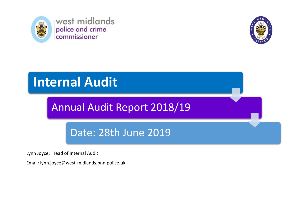

west midlands police and crime commissioner



# **Internal Audit** Annual Audit Report 2018/19 Date: 28th June 2019

Lynn Joyce: Head of Internal Audit

Email: lynn.joyce@west-midlands.pnn.police.uk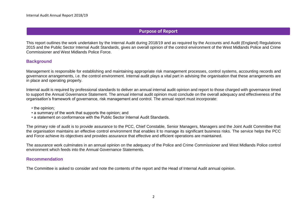## **Purpose of Report**

This report outlines the work undertaken by the Internal Audit during 2018/19 and as required by the Accounts and Audit (England) Regulations 2015 and the Public Sector Internal Audit Standards, gives an overall opinion of the control environment of the West Midlands Police and Crime Commissioner and West Midlands Police Force.

#### **Background**

Management is responsible for establishing and maintaining appropriate risk management processes, control systems, accounting records and governance arrangements, i.e. the control environment. Internal audit plays a vital part in advising the organisation that these arrangements are in place and operating properly.

Internal audit is required by professional standards to deliver an annual internal audit opinion and report to those charged with governance timed to support the Annual Governance Statement. The annual internal audit opinion must conclude on the overall adequacy and effectiveness of the organisation's framework of governance, risk management and control. The annual report must incorporate:

- the opinion;
- a summary of the work that supports the opinion; and
- a statement on conformance with the Public Sector Internal Audit Standards.

The primary role of audit is to provide assurance to the PCC, Chief Constable, Senior Managers, Managers and the Joint Audit Committee that the organisation maintains an effective control environment that enables it to manage its significant business risks. The service helps the PCC and Force achieve its objectives and provides assurance that effective and efficient operations are maintained.

The assurance work culminates in an annual opinion on the adequacy of the Police and Crime Commissioner and West Midlands Police control environment which feeds into the Annual Governance Statements.

#### **Recommendation**

The Committee is asked to consider and note the contents of the report and the Head of Internal Audit annual opinion.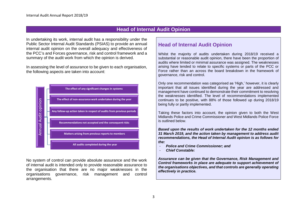## **Head of Internal Audit Opinion**

In undertaking its work, internal audit has a responsibility under the Public Sector Internal Audit Standards (PSIAS) to provide an annual internal audit opinion on the overall adequacy and effectiveness of the PCC's and Forces governance, risk and control framework and a summary of the audit work from which the opinion is derived.

In assessing the level of assurance to be given to each organisation, the following aspects are taken into account:



No system of control can provide absolute assurance and the work of internal audit is intended only to provide reasonable assurance to the organisation that there are no major weaknesses in the organisations governance, risk management and control

## **Head of Internal Audit Opinion**

Whilst the majority of audits undertaken during 2018/19 received a substantial or reasonable audit opinion, there have been the proportion of audits where limited or minimal assurance was assigned. The weaknesses arising have tended to relate to specific systems or parts of the PCC or Force rather than an across the board breakdown in the framework of governance, risk and control.

Only one recommendation was categorised as 'High,' however, it is clearly important that all issues identified during the year are addressed and management have continued to demonstrate their commitment to resolving the weaknesses identified. The level of recommendations implemented continues to be positive, with 88% of those followed up during 2018/19 being fully or partly implemented.

Taking these factors into account, the opinion given to both the West Midlands Police and Crime Commissioner and West Midlands Police Force is outlined below.

*Based upon the results of work undertaken for the 12 months ended 31 March 2019, and the action taken by management to address audit recommendations, the Head of Internal Audit opinion is as follows for the:*

- *Police and Crime Commissioner; and*
- *Chief Constable:*

*Assurance can be given that the Governance, Risk Management and Control frameworks in place are adequate to support achievement of the organisations objectives, and that controls are generally operating effectively in practice.*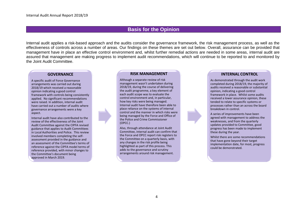## **Basis for the Opinion**

Internal audit applies a risk-based approach and the audits consider the governance framework, the risk management process, as well as the effectiveness of controls across a number of areas. Our findings on these themes are set out below. Overall, assurance can be provided that management have in place an effective control environment and, whilst further remedial actions are needed in some areas, internal audit are assured that management are making progress to implement audit recommendations, which will continue to be reported to and monitored by the Joint Audit Committee.

#### **GOVERNANCE**

A specific audit of Force Governance arrangements was carried out during 2018/19 which received a reasonable opinion indicating a good control framework with controls being consistently applied. No significant recommendations were raised. In addition, internal audit have carried out a number of audits where governance arrangements were a key aspect.

Internal audit have also contributed to the review of the effectiveness of the Joint Audit Committee against the CIPFA revised guidance that applies to Audit Committees in Local Authorities and Police. This review involved members completing the selfassessment provided in the guidance and an assessment of the Committee's terms of reference against the CIPFA model terms of reference provided, with minor changes to the Committee's document being approved in March 2019.

#### **RISK MANAGEMENT**

Although a separate review of risk management wasn't undertaken during 2018/19, during the course of delivering the audit programme, a key element of each audit scope was to evaluate the control environment and, in particular, how key risks were being managed. Internal audit have therefore been able to place reliance on the systems of internal control and the manner in which risks were being managed by the Force and Office of the Police and Crime Commissioner (OPCC.)

Also, through attendance at Joint Audit Committee, internal audit can confirm that the Force and OPCC report risk registers to the Committee on a quarterly basis, with any changes in the risk profile being highlighted as part of this process. This adds to the governance and scrutiny arrangements around risk management.



As demonstrated through the audit work completed during 2018/19, the majority of audits received a reasonable or substantial opinion, indicating a good control framework in place. Whilst some audits received a lower assurance opinion, these tended to relate to specific systems or processes rather than an across the board breakdown in control.

A series of improvements have been agreed with management to address the weaknesses, and from the quarterly updates provided to Committee, good progress has been made to implement these during the year.

Whilst there are some recommendations that have gone beyond their target implementation date, for most, progress could be demonstrated.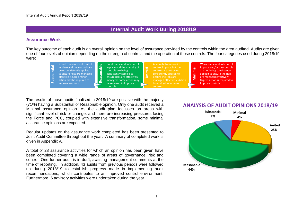# **Internal Audit Work During 2018/19**

#### **Assurance Work**

The key outcome of each audit is an overall opinion on the level of assurance provided by the controls within the area audited. Audits are given one of four levels of opinion depending on the strength of controls and the operation of those controls. The four categories used during 2018/19 were:



The results of those audits finalised in 2018/19 are positive with the majority (71%) having a Substantial or Reasonable opinion. Only one audit received a Minimal assurance opinion. As the audit plan focusses on areas with significant level of risk or change, and there are increasing pressures facing the Force and PCC, coupled with extensive transformation, some minimal assurance opinions are expected.

Regular updates on the assurance work completed has been presented to Joint Audit Committee throughout the year. A summary of completed work is given in Appendix A.

A total of 28 assurance activities for which an opinion has been given have been completed covering a wide range of areas of governance, risk and control. One further audit is in draft, awaiting management comments at the time of reporting. In addition, 43 audits from previous periods were followed up during 2018/19 to establish progress made in implementing audit recommendations, which contributes to an improved control environment. Furthermore, 6 advisory activities the control and the manned the control are being to the neare risk are effectively some mining a Substantial or Reasonable of managed. Some action may be required to managed. Some action

## **ANALYSIS OF AUDIT OPINIONS 2018/19**

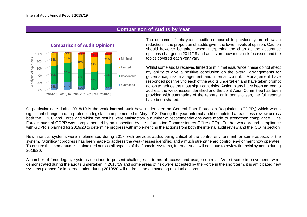

## **Comparison of Audits by Year**

The outcome of this year's audits compared to previous years shows a reduction in the proportion of audits given the lower levels of opinion. Caution should however be taken when interpreting the chart as the assurance opinions changed in 2017/18 and audits are now more risk focussed and the topics covered each year vary.

Whilst some audits received limited or minimal assurance, these do not affect my ability to give a positive conclusion on the overall arrangements for governance, risk management and internal control. Management have responded positively to each of the audits undertaken and have taken prompt action to reduce the most significant risks. Action plans have been agreed to address the weaknesses identified and the Joint Audit Committee has been provided with summaries of the reports, or in some cases, the full reports have been shared.

Of particular note during 2018/19 is the work internal audit have undertaken on General Data Protection Regulations (GDPR,) which was a significant change in data protection legislation implemented in May 2018. During the year, internal audit completed a readiness review across both the OPCC and Force and whilst the results were satisfactory a number of recommendations were made to strengthen compliance. The Force's audit of GDPR was complemented by an inspection by the Information Commissioners Office (ICO). Further work around compliance with GDPR is planned for 2019/20 to determine progress with implementing the actions from both the internal audit review and the ICO inspection.

New financial systems were implemented during 2017, with previous audits being critical of the control environment for some aspects of the system. Significant progress has been made to address the weaknesses identified and a much strengthened control environment now operates. To ensure this momentum is maintained across all aspects of the financial systems, Internal Audit will continue to review financial systems during 2019/20.

A number of force legacy systems continue to present challenges in terms of access and usage controls. Whilst some improvements were demonstrated during the audits undertaken in 2018/19 and some areas of risk were accepted by the Force in the short term, it is anticipated new systems planned for implementation during 2019/20 will address the outstanding residual actions.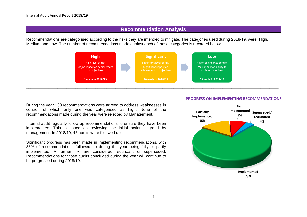### **Recommendation Analysis**

Recommendations are categorised according to the risks they are intended to mitigate. The categories used during 2018/19, were: High, Medium and Low. The number of recommendations made against each of these categories is recorded below.



During the year 130 recommendations were agreed to address weaknesses in control, of which only one was categorised as high. None of the recommendations made during the year were rejected by Management.

Internal audit regularly follow-up recommendations to ensure they have been implemented. This is based on reviewing the initial actions agreed by management. In 2018/19, 43 audits were followed up.

Significant progress has been made in implementing recommendations, with 88% of recommendations followed up during the year being fully or partly implemented. A further 4% are considered redundant or superseded. Recommendations for those audits concluded during the year will continue to be progressed during 2018/19.

#### **PROGRESS ON IMPLEMENTING RECOMMENDATIONS**

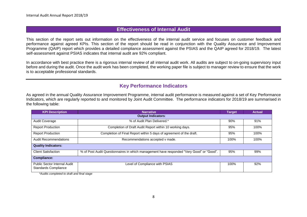## **Effectiveness of Internal Audit**

This section of the report sets out information on the effectiveness of the internal audit service and focuses on customer feedback and performance against agreed KPIs. This section of the report should be read in conjunction with the Quality Assurance and Improvement Programme (QAIP) report which provides a detailed compliance assessment against the PSIAS and the QAIP agreed for 2018/19. The latest self-assessment against PSIAS indicates that internal audit are 92% compliant.

In accordance with best practice there is a rigorous internal review of all internal audit work. All audits are subject to on-going supervisory input before and during the audit. Once the audit work has been completed, the working paper file is subject to manager review to ensure that the work is to acceptable professional standards.

## **Key Performance Indicators**

As agreed in the annual Quality Assurance Improvement Programme, internal audit performance is measured against a set of Key Performance Indicators, which are regularly reported to and monitored by Joint Audit Committee. The performance indicators for 2018/19 are summarised in the following table:

| <b>KPI Description</b>                                      | <b>Narrative</b>                                                                         | <b>Target</b> | <b>Actual</b> |  |
|-------------------------------------------------------------|------------------------------------------------------------------------------------------|---------------|---------------|--|
| <b>Output Indicators:</b>                                   |                                                                                          |               |               |  |
| <b>Audit Coverage</b>                                       | % of Audit Plan Delivered.*                                                              | 90%           | 91%           |  |
| <b>Report Production</b>                                    | Completion of Draft Audit Report within 10 working days.                                 | 95%           | 100%          |  |
| <b>Report Production</b>                                    | Completion of Final Report within 5 days of agreement of the draft.                      | 95%           | 100%          |  |
| <b>Audit Recommendations</b>                                | Recommendations accepted v made.                                                         | 100%          | 100%          |  |
| <b>Quality Indicators:</b>                                  |                                                                                          |               |               |  |
| <b>Client Satisfaction</b>                                  | % of Post Audit Questionnaires in which management have responded "Very Good" or "Good". | 95%           | 99%           |  |
| <b>Compliance:</b>                                          |                                                                                          |               |               |  |
| Public Sector Internal Audit<br><b>Standards Compliance</b> | Level of Compliance with PSIAS                                                           | 100%          | 92%           |  |

*\*Audits completed to draft and final stage*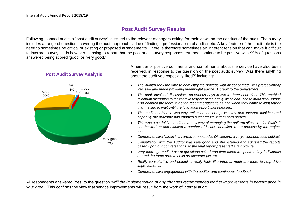# **Post Audit Survey Results**

Following planned audits a "post audit survey" is issued to the relevant managers asking for their views on the conduct of the audit. The survey includes a range of questions covering the audit approach, value of findings, professionalism of auditor etc. A key feature of the audit role is the need to sometimes be critical of existing or proposed arrangements. There is therefore sometimes an inherent tension that can make it difficult to interpret surveys. It is however pleasing to report that the post audit survey responses returned continue to be positive with 99% of questions answered being scored 'good' or 'very good.'

## **Post Audit Survey Analysis**



A number of positive comments and compliments about the service have also been received, in response to the question on the post audit survey 'Was there anything about the audit you especially liked?' including:

- *The Auditor took the time to demystify the process with all concerned, was professionally intrusive and made providing meaningful advice. A credit to the department.*
- *The audit involved discussions on various days in two to three hour slots. This enabled minimum disruption to the team in respect of their daily work load. These audit discussions also enabled the team to act on recommendations as and when they came to light rather than having to wait until the final audit report was released.*
- *The audit enabled a two-way reflection on our processes and forward thinking and hopefully the outcome has enabled a clearer view from both parties.*
- *This was a useful first audit on a new way of managing the uniform allocation for WMP. It has backed up and clarified a number of issues identified in the process by the project team.*
- *Comprehensive liaison in all areas connected to Disclosure, a very misunderstood subject.*
- *Consultation with the Auditor was very good and she listened and adjusted the reports based upon our conversations so the final report presented a fair picture.*
- *Very thorough audit. Lots of questions asked and time taken to speak to key individuals around the force area to build an accurate picture.*
- *Really consultative and helpful. It really feels like Internal Audit are there to help drive improvements.*
- *Comprehensive engagement with the auditor and continuous feedback.*

All respondents answered 'Yes' to the question '*Will the implementation of any changes recommended lead to improvements in performance in your area?*' This confirms the view that service improvements will result from the work of internal audit.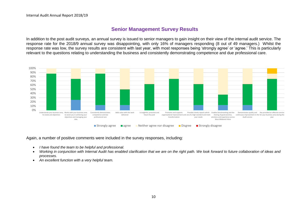# **Senior Management Survey Results**

In addition to the post audit surveys, an annual survey is issued to senior managers to gain insight on their view of the internal audit service. The response rate for the 2018/9 annual survey was disappointing, with only 16% of managers responding (8 out of 49 managers.) Whilst the response rate was low, the survey results are consistent with last year, with most responses being 'strongly agree' or 'agree.' This is particularly relevant to the questions relating to understanding the business and consistently demonstrating competence and due professional care.



Again, a number of positive comments were included in the survey responses, including:

- *I have found the team to be helpful and professional.*
- *Working in conjunction with Internal Audit has enabled clarification that we are on the right path. We look forward to future collaboration of ideas and processes.*
- *An excellent function with a very helpful team.*